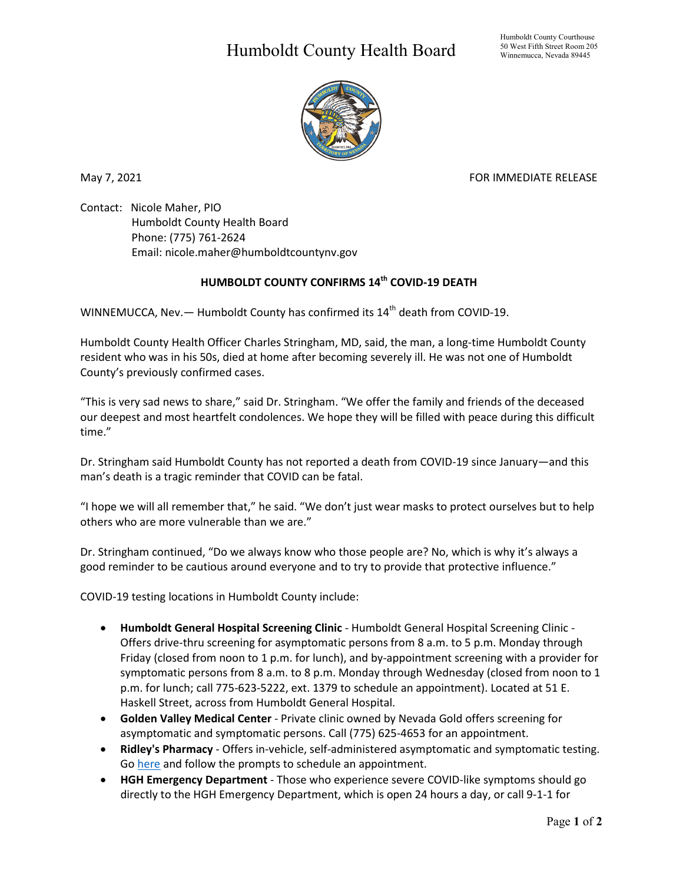## Humboldt County Health Board



May 7, 2021 **FOR IMMEDIATE RELEASE** 

Contact: Nicole Maher, PIO Humboldt County Health Board Phone: (775) 761-2624 Email: nicole.maher@humboldtcountynv.gov

## **HUMBOLDT COUNTY CONFIRMS 14th COVID-19 DEATH**

WINNEMUCCA, Nev.  $-$  Humboldt County has confirmed its 14<sup>th</sup> death from COVID-19.

Humboldt County Health Officer Charles Stringham, MD, said, the man, a long-time Humboldt County resident who was in his 50s, died at home after becoming severely ill. He was not one of Humboldt County's previously confirmed cases.

"This is very sad news to share," said Dr. Stringham. "We offer the family and friends of the deceased our deepest and most heartfelt condolences. We hope they will be filled with peace during this difficult time."

Dr. Stringham said Humboldt County has not reported a death from COVID-19 since January—and this man's death is a tragic reminder that COVID can be fatal.

"I hope we will all remember that," he said. "We don't just wear masks to protect ourselves but to help others who are more vulnerable than we are."

Dr. Stringham continued, "Do we always know who those people are? No, which is why it's always a good reminder to be cautious around everyone and to try to provide that protective influence."

COVID-19 testing locations in Humboldt County include:

- **Humboldt General Hospital Screening Clinic** Humboldt General Hospital Screening Clinic Offers drive-thru screening for asymptomatic persons from 8 a.m. to 5 p.m. Monday through Friday (closed from noon to 1 p.m. for lunch), and by-appointment screening with a provider for symptomatic persons from 8 a.m. to 8 p.m. Monday through Wednesday (closed from noon to 1 p.m. for lunch; call 775-623-5222, ext. 1379 to schedule an appointment). Located at 51 E. Haskell Street, across from Humboldt General Hospital.
- **Golden Valley Medical Center** Private clinic owned by Nevada Gold offers screening for asymptomatic and symptomatic persons. Call (775) 625-4653 for an appointment.
- **Ridley's Pharmacy** Offers in-vehicle, self-administered asymptomatic and symptomatic testing. Go [here](https://www.doineedacovid19test.com/Winnemucca_NV_1098.html) and follow the prompts to schedule an appointment.
- **HGH Emergency Department**  Those who experience severe COVID-like symptoms should go directly to the HGH Emergency Department, which is open 24 hours a day, or call 9-1-1 for